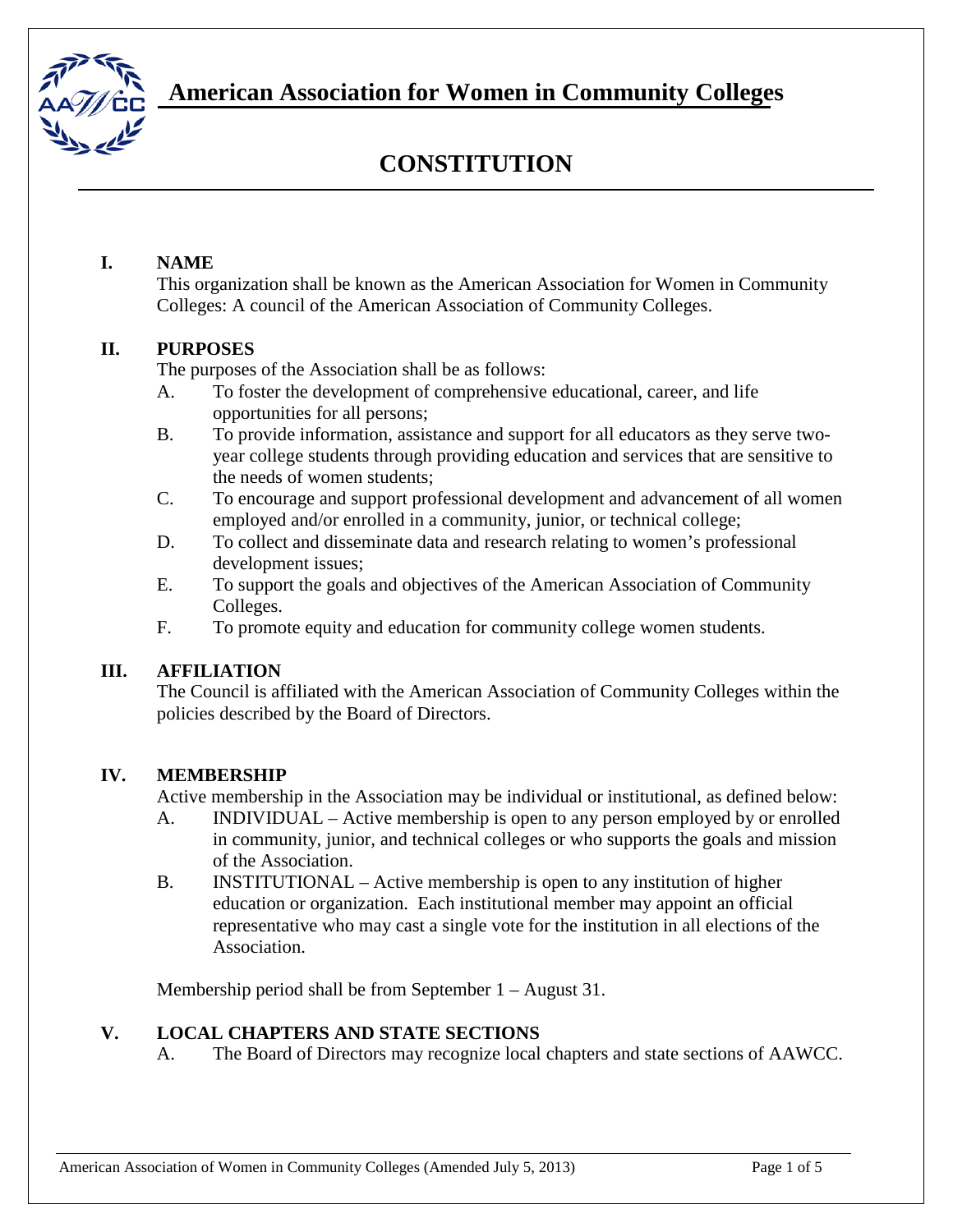

**American Association for Women in Community Colleges**

# **CONSTITUTION**

#### **I. NAME**

This organization shall be known as the American Association for Women in Community Colleges: A council of the American Association of Community Colleges.

### **II. PURPOSES**

The purposes of the Association shall be as follows:

- A. To foster the development of comprehensive educational, career, and life opportunities for all persons;
- B. To provide information, assistance and support for all educators as they serve twoyear college students through providing education and services that are sensitive to the needs of women students;
- C. To encourage and support professional development and advancement of all women employed and/or enrolled in a community, junior, or technical college;
- D. To collect and disseminate data and research relating to women's professional development issues;
- E. To support the goals and objectives of the American Association of Community Colleges.
- F. To promote equity and education for community college women students.

#### **III. AFFILIATION**

The Council is affiliated with the American Association of Community Colleges within the policies described by the Board of Directors.

#### **IV. MEMBERSHIP**

Active membership in the Association may be individual or institutional, as defined below:

- A. INDIVIDUAL Active membership is open to any person employed by or enrolled in community, junior, and technical colleges or who supports the goals and mission of the Association.
- B. INSTITUTIONAL Active membership is open to any institution of higher education or organization. Each institutional member may appoint an official representative who may cast a single vote for the institution in all elections of the Association.

Membership period shall be from September 1 – August 31.

#### **V. LOCAL CHAPTERS AND STATE SECTIONS**

A. The Board of Directors may recognize local chapters and state sections of AAWCC.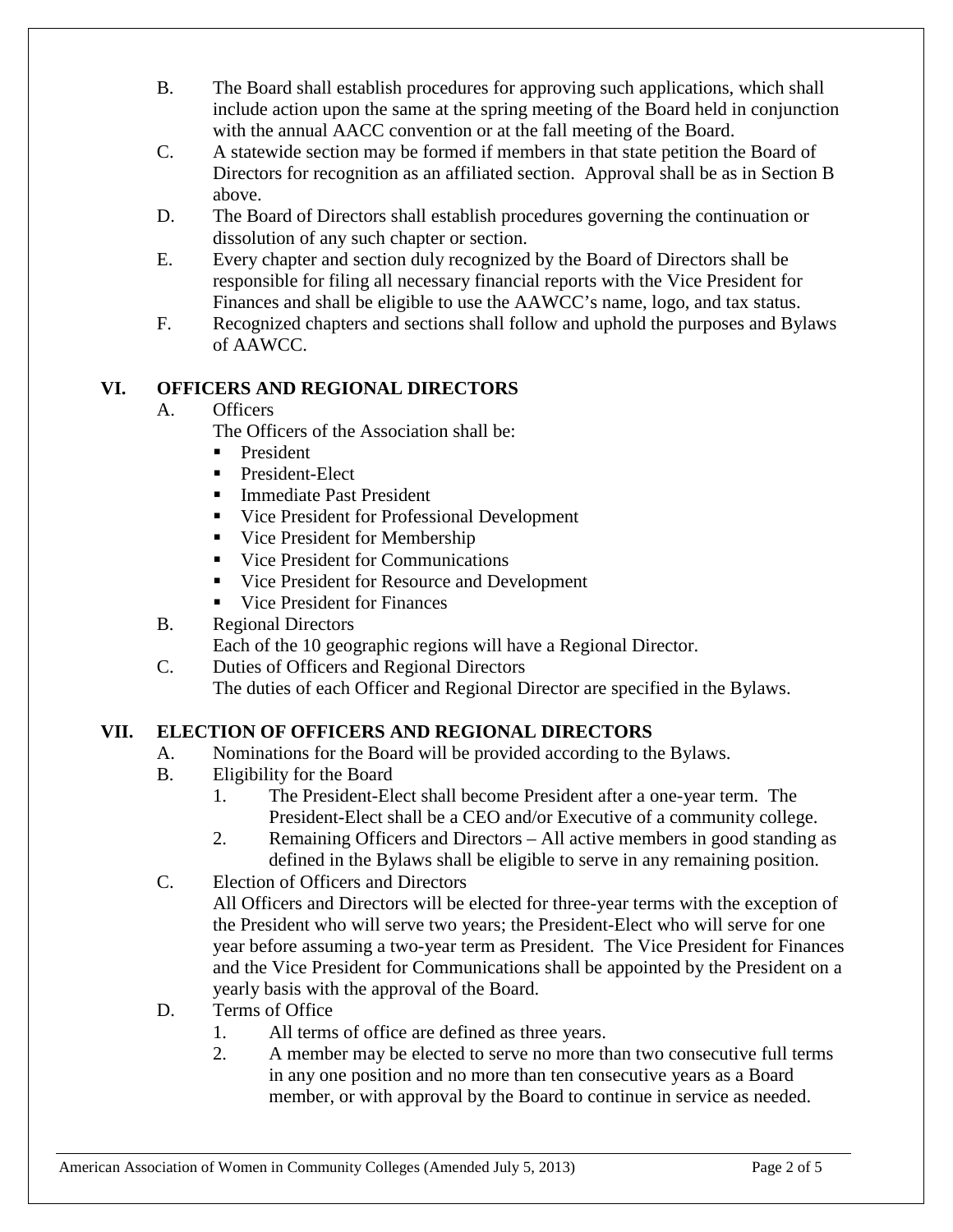- B. The Board shall establish procedures for approving such applications, which shall include action upon the same at the spring meeting of the Board held in conjunction with the annual AACC convention or at the fall meeting of the Board.
- C. A statewide section may be formed if members in that state petition the Board of Directors for recognition as an affiliated section. Approval shall be as in Section B above.
- D. The Board of Directors shall establish procedures governing the continuation or dissolution of any such chapter or section.
- E. Every chapter and section duly recognized by the Board of Directors shall be responsible for filing all necessary financial reports with the Vice President for Finances and shall be eligible to use the AAWCC's name, logo, and tax status.
- F. Recognized chapters and sections shall follow and uphold the purposes and Bylaws of AAWCC.

# **VI. OFFICERS AND REGIONAL DIRECTORS**

# A. Officers

The Officers of the Association shall be:

- **President**
- **President-Elect**
- **Immediate Past President**
- Vice President for Professional Development
- **Vice President for Membership**
- Vice President for Communications
- Vice President for Resource and Development
- **Vice President for Finances**
- B. Regional Directors

Each of the 10 geographic regions will have a Regional Director.

C. Duties of Officers and Regional Directors The duties of each Officer and Regional Director are specified in the Bylaws.

# **VII. ELECTION OF OFFICERS AND REGIONAL DIRECTORS**

- A. Nominations for the Board will be provided according to the Bylaws.
- B. Eligibility for the Board
	- 1. The President-Elect shall become President after a one-year term. The President-Elect shall be a CEO and/or Executive of a community college.
	- 2. Remaining Officers and Directors All active members in good standing as defined in the Bylaws shall be eligible to serve in any remaining position.
- C. Election of Officers and Directors

All Officers and Directors will be elected for three-year terms with the exception of the President who will serve two years; the President-Elect who will serve for one year before assuming a two-year term as President. The Vice President for Finances and the Vice President for Communications shall be appointed by the President on a yearly basis with the approval of the Board.

- D. Terms of Office
	- 1. All terms of office are defined as three years.
	- 2. A member may be elected to serve no more than two consecutive full terms in any one position and no more than ten consecutive years as a Board member, or with approval by the Board to continue in service as needed.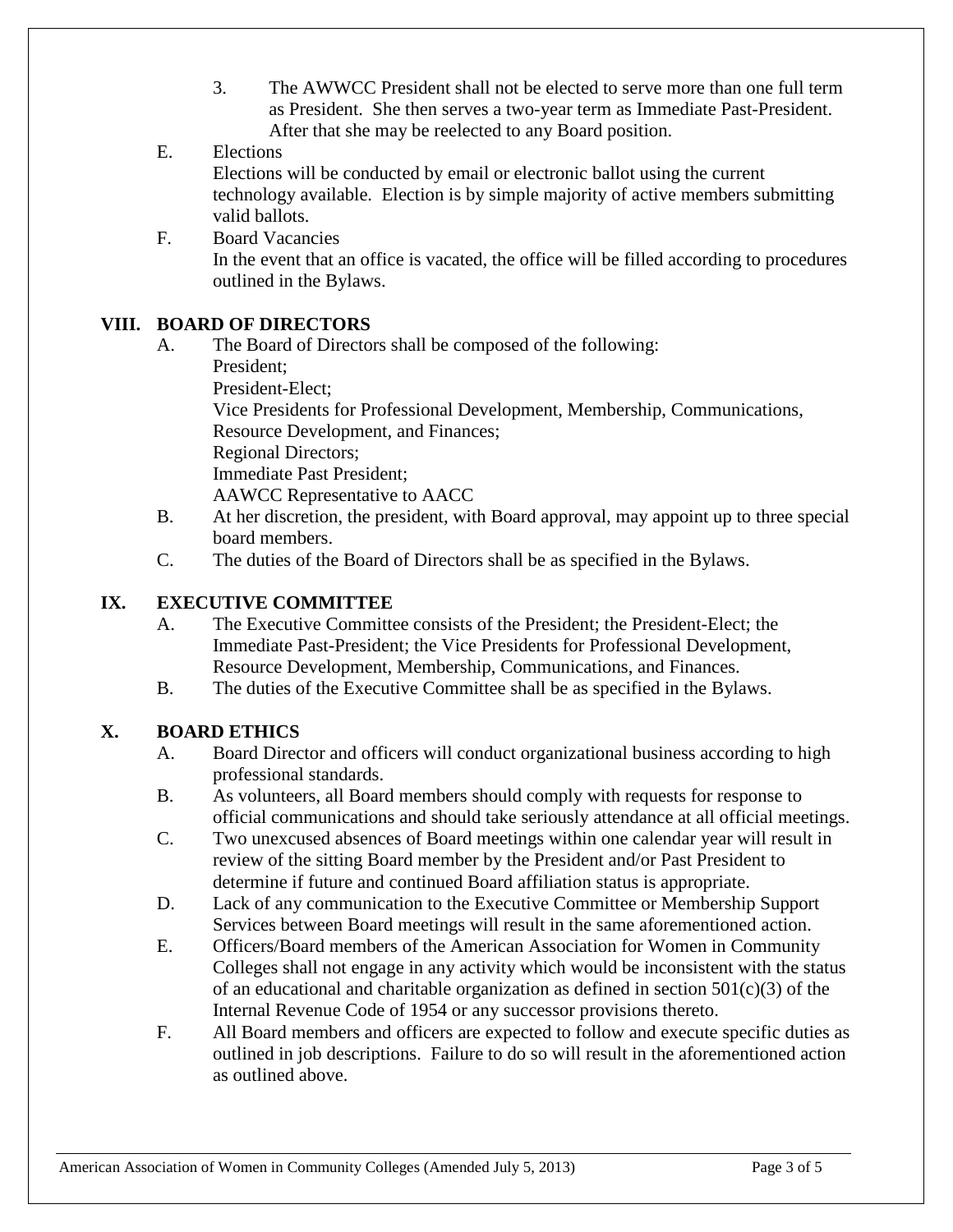3. The AWWCC President shall not be elected to serve more than one full term as President. She then serves a two-year term as Immediate Past-President. After that she may be reelected to any Board position.

### E. Elections

Elections will be conducted by email or electronic ballot using the current technology available. Election is by simple majority of active members submitting valid ballots.

F. Board Vacancies In the event that an office is vacated, the office will be filled according to procedures outlined in the Bylaws.

### **VIII. BOARD OF DIRECTORS**

- A. The Board of Directors shall be composed of the following:
	- President;

President-Elect;

Vice Presidents for Professional Development, Membership, Communications, Resource Development, and Finances;

Regional Directors;

Immediate Past President;

AAWCC Representative to AACC

- B. At her discretion, the president, with Board approval, may appoint up to three special board members.
- C. The duties of the Board of Directors shall be as specified in the Bylaws.

# **IX. EXECUTIVE COMMITTEE**

- A. The Executive Committee consists of the President; the President-Elect; the Immediate Past-President; the Vice Presidents for Professional Development, Resource Development, Membership, Communications, and Finances.
- B. The duties of the Executive Committee shall be as specified in the Bylaws.

# **X. BOARD ETHICS**

- A. Board Director and officers will conduct organizational business according to high professional standards.
- B. As volunteers, all Board members should comply with requests for response to official communications and should take seriously attendance at all official meetings.
- C. Two unexcused absences of Board meetings within one calendar year will result in review of the sitting Board member by the President and/or Past President to determine if future and continued Board affiliation status is appropriate.
- D. Lack of any communication to the Executive Committee or Membership Support Services between Board meetings will result in the same aforementioned action.
- E. Officers/Board members of the American Association for Women in Community Colleges shall not engage in any activity which would be inconsistent with the status of an educational and charitable organization as defined in section  $501(c)(3)$  of the Internal Revenue Code of 1954 or any successor provisions thereto.
- F. All Board members and officers are expected to follow and execute specific duties as outlined in job descriptions. Failure to do so will result in the aforementioned action as outlined above.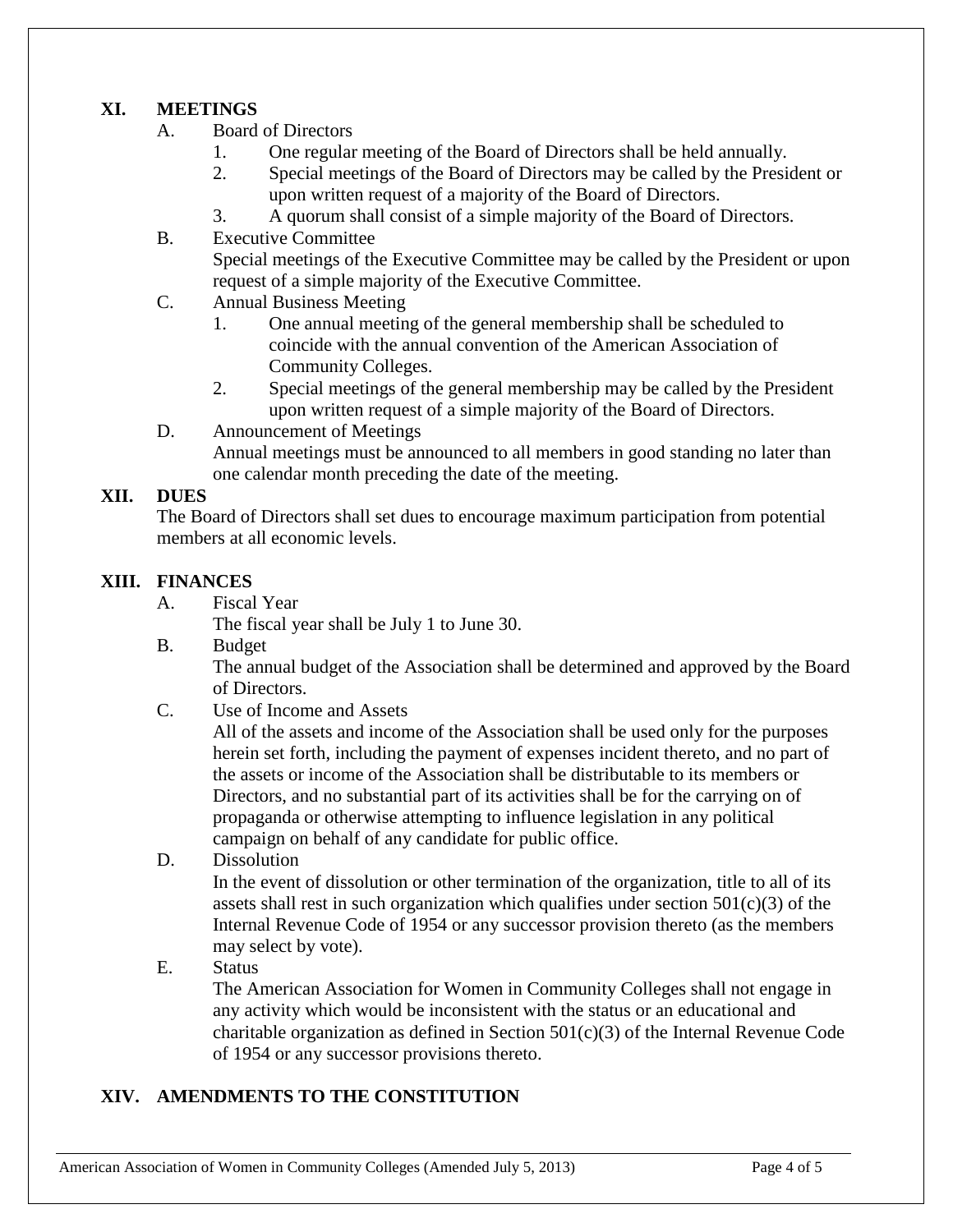#### **XI. MEETINGS**

- A. Board of Directors
	- 1. One regular meeting of the Board of Directors shall be held annually.
	- 2. Special meetings of the Board of Directors may be called by the President or upon written request of a majority of the Board of Directors.
	- 3. A quorum shall consist of a simple majority of the Board of Directors.
- B. Executive Committee

Special meetings of the Executive Committee may be called by the President or upon request of a simple majority of the Executive Committee.

- C. Annual Business Meeting
	- 1. One annual meeting of the general membership shall be scheduled to coincide with the annual convention of the American Association of Community Colleges.
	- 2. Special meetings of the general membership may be called by the President upon written request of a simple majority of the Board of Directors.
- D. Announcement of Meetings

Annual meetings must be announced to all members in good standing no later than one calendar month preceding the date of the meeting.

### **XII. DUES**

The Board of Directors shall set dues to encourage maximum participation from potential members at all economic levels.

#### **XIII. FINANCES**

A. Fiscal Year

The fiscal year shall be July 1 to June 30.

B. Budget

The annual budget of the Association shall be determined and approved by the Board of Directors.

C. Use of Income and Assets

All of the assets and income of the Association shall be used only for the purposes herein set forth, including the payment of expenses incident thereto, and no part of the assets or income of the Association shall be distributable to its members or Directors, and no substantial part of its activities shall be for the carrying on of propaganda or otherwise attempting to influence legislation in any political campaign on behalf of any candidate for public office.

D. Dissolution

In the event of dissolution or other termination of the organization, title to all of its assets shall rest in such organization which qualifies under section  $501(c)(3)$  of the Internal Revenue Code of 1954 or any successor provision thereto (as the members may select by vote).

E. Status

The American Association for Women in Community Colleges shall not engage in any activity which would be inconsistent with the status or an educational and charitable organization as defined in Section  $501(c)(3)$  of the Internal Revenue Code of 1954 or any successor provisions thereto.

# **XIV. AMENDMENTS TO THE CONSTITUTION**